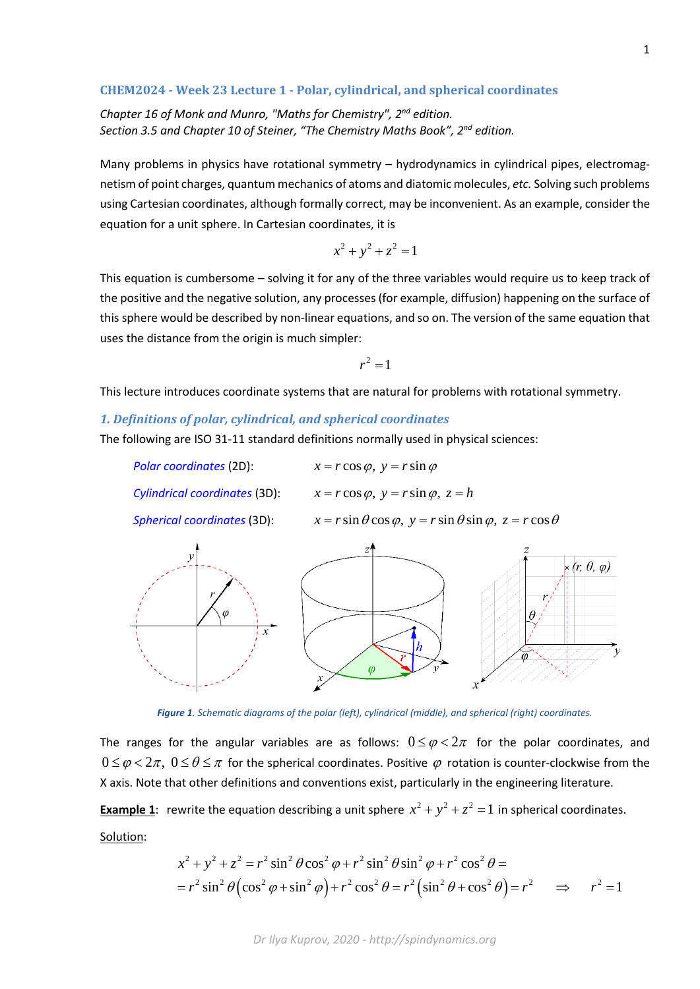### **CHEM2024 - Week 23 Lecture 1 - Polar, cylindrical, and spherical coordinates**

*Chapter 16 of Monk and Munro, "Maths for Chemistry", 2nd edition. Section 3.5 and Chapter 10 of Steiner, "The Chemistry Maths Book", 2nd edition.*

Many problems in physics have rotational symmetry - hydrodynamics in cylindrical pipes, electromagnetism of point charges, quantum mechanics of atoms and diatomic molecules, *etc.* Solving such problems using Cartesian coordinates, although formally correct, may be inconvenient. As an example, consider the equation for a unit sphere. In Cartesian coordinates, it is

 $x^2 + y^2 + z^2 = 1$ 

This equation is cumbersome – solving it for any of the three variables would require us to keep track of the positive and the negative solution, any processes (for example, diffusion) happening on the surface of this sphere would be described by non-linear equations, and so on. The version of the same equation that uses the distance from the origin is much simpler:

$$
r^2=1
$$

This lecture introduces coordinate systems that are natural for problems with rotational symmetry.

# *1. Definitions of polar, cylindrical, and spherical coordinates*

The following are ISO 31-11 standard definitions normally used in physical sciences:

| Polar coordinates (2D):       | $x = r \cos \varphi$ , $y = r \sin \varphi$                                               |
|-------------------------------|-------------------------------------------------------------------------------------------|
| Cylindrical coordinates (3D): | $x = r \cos \varphi$ , $y = r \sin \varphi$ , $z = h$                                     |
| Spherical coordinates (3D):   | $x = r \sin \theta \cos \varphi$ , $y = r \sin \theta \sin \varphi$ , $z = r \cos \theta$ |
|                               |                                                                                           |



*Figure 1. Schematic diagrams of the polar (left), cylindrical (middle), and spherical (right) coordinates.*

The ranges for the angular variables are as follows:  $0 \le \varphi < 2\pi$  for the polar coordinates, and  $0 \leq \varphi < 2\pi$ ,  $0 \leq \theta \leq \pi$  for the spherical coordinates. Positive  $\varphi$  rotation is counter-clockwise from the X axis. Note that other definitions and conventions exist, particularly in the engineering literature.

**Example 1**: rewrite the equation describing a unit sphere  $x^2 + y^2 + z^2 = 1$  in spherical coordinates.

Solution:

$$
x^{2} + y^{2} + z^{2} = r^{2} \sin^{2} \theta \cos^{2} \phi + r^{2} \sin^{2} \theta \sin^{2} \phi + r^{2} \cos^{2} \theta =
$$
  
=  $r^{2} \sin^{2} \theta (\cos^{2} \phi + \sin^{2} \phi) + r^{2} \cos^{2} \theta = r^{2} (\sin^{2} \theta + \cos^{2} \theta) = r^{2}$   $\implies$   $r^{2} = 1$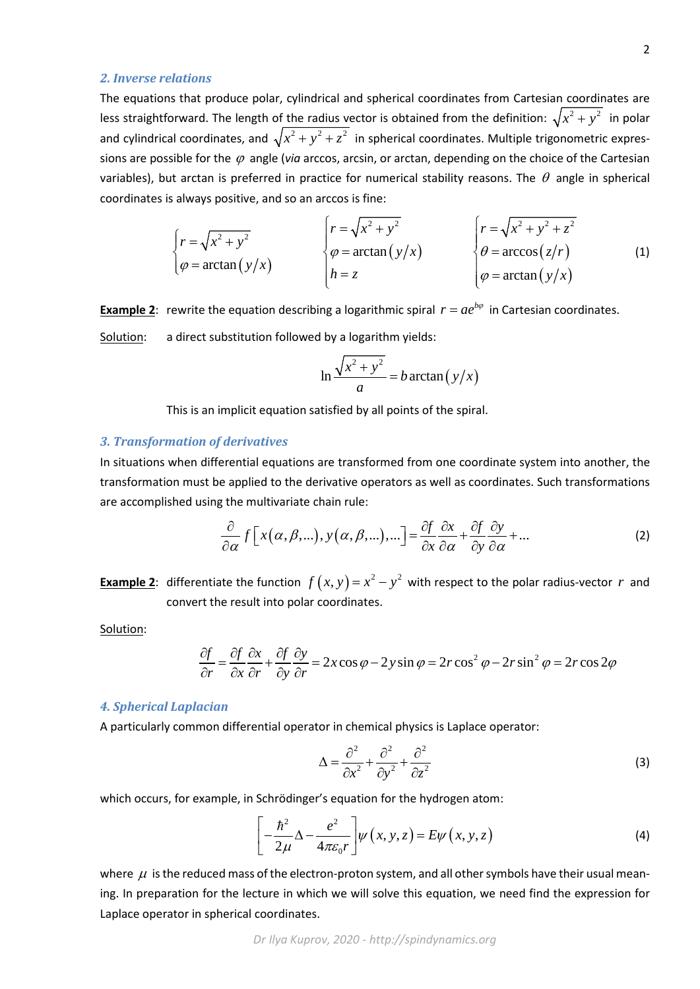#### *2. Inverse relations*

The equations that produce polar, cylindrical and spherical coordinates from Cartesian coordinates are less straightforward. The length of the radius vector is obtained from the definition:  $\sqrt{x^2 + y^2}$  in polar and cylindrical coordinates, and  $\sqrt{x^2 + y^2 + z^2}$  in spherical coordinates. Multiple trigonometric expressions are possible for the ϕ angle (*via* arccos, arcsin, or arctan, depending on the choice of the Cartesian variables), but arctan is preferred in practice for numerical stability reasons. The  $\theta$  angle in spherical coordinates is always positive, and so an arccos is fine:

$$
\begin{cases}\nr = \sqrt{x^2 + y^2} \\
\varphi = \arctan(y/x) \\
h = z\n\end{cases}\n\qquad\n\begin{cases}\nr = \sqrt{x^2 + y^2} \\
\varphi = \arctan(y/x) \\
h = z\n\end{cases}\n\qquad\n\begin{cases}\nr = \sqrt{x^2 + y^2 + z^2} \\
\theta = \arccos(z/r) \\
\varphi = \arctan(y/x)\n\end{cases}
$$
\n(1)

**Example 2**: rewrite the equation describing a logarithmic spiral  $r = ae^{b\varphi}$  in Cartesian coordinates. Solution: a direct substitution followed by a logarithm yields:

$$
\ln \frac{\sqrt{x^2 + y^2}}{a} = b \arctan (y/x)
$$

This is an implicit equation satisfied by all points of the spiral.

## *3. Transformation of derivatives*

In situations when differential equations are transformed from one coordinate system into another, the transformation must be applied to the derivative operators as well as coordinates. Such transformations are accomplished using the multivariate chain rule:

$$
\frac{\partial}{\partial \alpha} f[x(\alpha, \beta, \ldots), y(\alpha, \beta, \ldots), \ldots] = \frac{\partial f}{\partial x} \frac{\partial x}{\partial \alpha} + \frac{\partial f}{\partial y} \frac{\partial y}{\partial \alpha} + \ldots
$$
\n(2)

**Example 2**: differentiate the function  $f(x, y) = x^2 - y^2$  with respect to the polar radius-vector *r* and convert the result into polar coordinates.

Solution:

$$
\frac{\partial f}{\partial r} = \frac{\partial f}{\partial x}\frac{\partial x}{\partial r} + \frac{\partial f}{\partial y}\frac{\partial y}{\partial r} = 2x\cos\varphi - 2y\sin\varphi = 2r\cos^2\varphi - 2r\sin^2\varphi = 2r\cos 2\varphi
$$

#### *4. Spherical Laplacian*

A particularly common differential operator in chemical physics is Laplace operator:

$$
\Delta = \frac{\partial^2}{\partial x^2} + \frac{\partial^2}{\partial y^2} + \frac{\partial^2}{\partial z^2}
$$
 (3)

which occurs, for example, in Schrödinger's equation for the hydrogen atom:

$$
\left[-\frac{\hbar^2}{2\mu}\Delta - \frac{e^2}{4\pi\varepsilon_0 r}\right] \psi(x, y, z) = E\psi(x, y, z)
$$
\n(4)

where  $\mu$  is the reduced mass of the electron-proton system, and all other symbols have their usual meaning. In preparation for the lecture in which we will solve this equation, we need find the expression for Laplace operator in spherical coordinates.